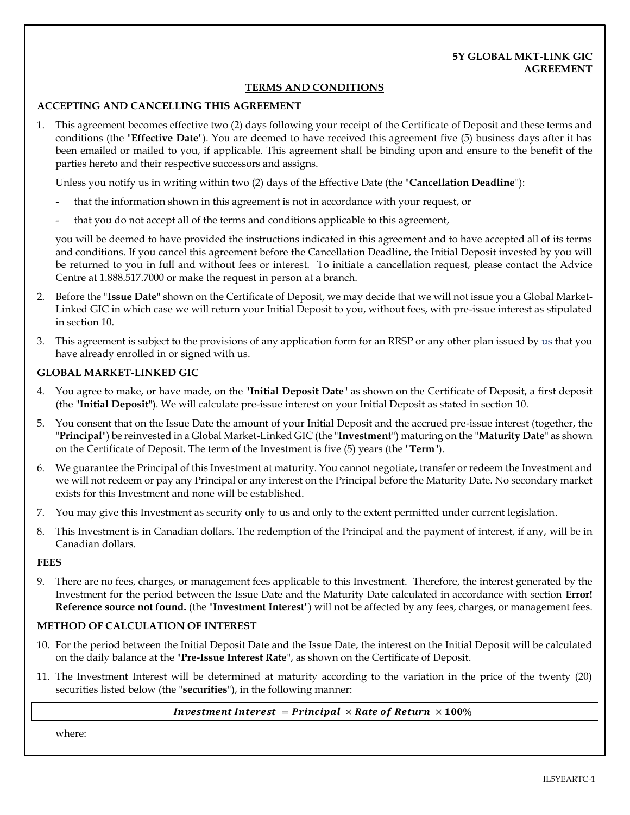## **5Y GLOBAL MKT-LINK GIC AGREEMENT**

## **TERMS AND CONDITIONS**

## **ACCEPTING AND CANCELLING THIS AGREEMENT**

1. This agreement becomes effective two (2) days following your receipt of the Certificate of Deposit and these terms and conditions (the "**Effective Date**"). You are deemed to have received this agreement five (5) business days after it has been emailed or mailed to you, if applicable. This agreement shall be binding upon and ensure to the benefit of the parties hereto and their respective successors and assigns.

Unless you notify us in writing within two (2) days of the Effective Date (the "**Cancellation Deadline**"):

- that the information shown in this agreement is not in accordance with your request, or
- that you do not accept all of the terms and conditions applicable to this agreement,

you will be deemed to have provided the instructions indicated in this agreement and to have accepted all of its terms and conditions. If you cancel this agreement before the Cancellation Deadline, the Initial Deposit invested by you will be returned to you in full and without fees or interest. To initiate a cancellation request, please contact the Advice Centre at 1.888.517.7000 or make the request in person at a branch.

- 2. Before the "**Issue Date**" shown on the Certificate of Deposit, we may decide that we will not issue you a Global Market-Linked GIC in which case we will return your Initial Deposit to you, without fees, with pre-issue interest as stipulated in sectio[n 10.](#page-0-0)
- 3. This agreement is subject to the provisions of any application form for an RRSP or any other plan issued by us that you have already enrolled in or signed with us.

### **GLOBAL MARKET-LINKED GIC**

- 4. You agree to make, or have made, on the "**Initial Deposit Date**" as shown on the Certificate of Deposit, a first deposit (the "**Initial Deposit**"). We will calculate pre-issue interest on your Initial Deposit as stated in section [10.](#page-0-0)
- 5. You consent that on the Issue Date the amount of your Initial Deposit and the accrued pre-issue interest (together, the "**Principal**") be reinvested in a Global Market-Linked GIC (the "**Investment**") maturing on the "**Maturity Date**" as shown on the Certificate of Deposit. The term of the Investment is five (5) years (the "**Term**").
- 6. We guarantee the Principal of this Investment at maturity. You cannot negotiate, transfer or redeem the Investment and we will not redeem or pay any Principal or any interest on the Principal before the Maturity Date. No secondary market exists for this Investment and none will be established.
- 7. You may give this Investment as security only to us and only to the extent permitted under current legislation.
- 8. This Investment is in Canadian dollars. The redemption of the Principal and the payment of interest, if any, will be in Canadian dollars.

#### **FEES**

9. There are no fees, charges, or management fees applicable to this Investment. Therefore, the interest generated by the Investment for the period between the Issue Date and the Maturity Date calculated in accordance with section **Error! Reference source not found.** (the "**Investment Interest**") will not be affected by any fees, charges, or management fees.

#### **METHOD OF CALCULATION OF INTEREST**

- <span id="page-0-0"></span>10. For the period between the Initial Deposit Date and the Issue Date, the interest on the Initial Deposit will be calculated on the daily balance at the "**Pre-Issue Interest Rate**", as shown on the Certificate of Deposit.
- 11. The Investment Interest will be determined at maturity according to the variation in the price of the twenty (20) securities listed below (the "**securities**"), in the following manner:

#### *Investment Interest = Principal*  $\times$  *Rate of Return*  $\times$  *100%*

where: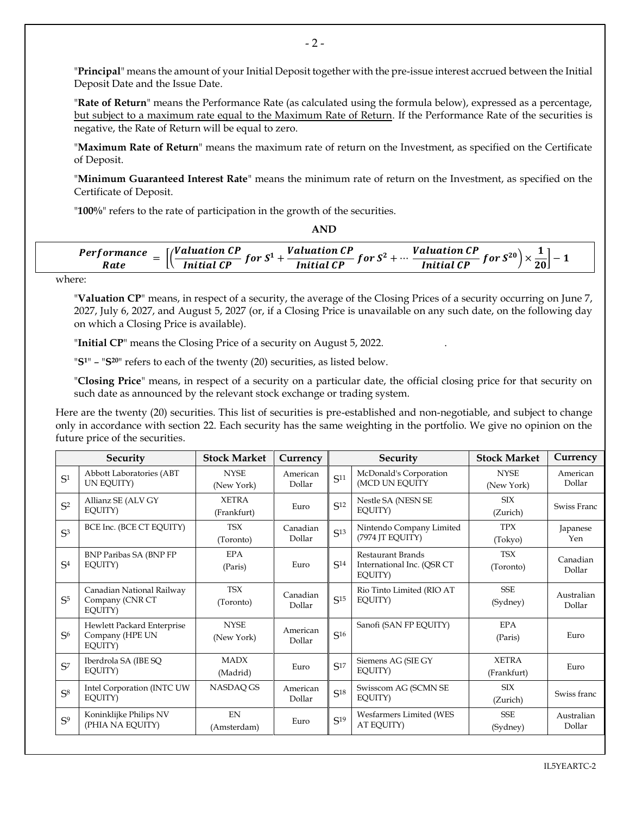"**Principal**" means the amount of your Initial Deposit together with the pre-issue interest accrued between the Initial Deposit Date and the Issue Date.

"**Rate of Return**" means the Performance Rate (as calculated using the formula below), expressed as a percentage, but subject to a maximum rate equal to the Maximum Rate of Return. If the Performance Rate of the securities is negative, the Rate of Return will be equal to zero.

"**Maximum Rate of Return**" means the maximum rate of return on the Investment, as specified on the Certificate of Deposit.

"**Minimum Guaranteed Interest Rate**" means the minimum rate of return on the Investment, as specified on the Certificate of Deposit.

"**100%**" refers to the rate of participation in the growth of the securities.

| <i>Performance</i><br>Rate | $\int$ /Valuation CP<br>j or $S^1$ | <b>Valuation CP</b><br>C <sup>2</sup><br>°or S<br>$\overline{c}$ | Valuation<br>c20<br><b>.</b><br>`or<br><br>$\overline{c}$<br>20 <sub>1</sub> |
|----------------------------|------------------------------------|------------------------------------------------------------------|------------------------------------------------------------------------------|

**AND**

where:

"**Valuation CP**" means, in respect of a security, the average of the Closing Prices of a security occurring on June 7, 2027, July 6, 2027, and August 5, 2027 (or, if a Closing Price is unavailable on any such date, on the following day on which a Closing Price is available).

"**Initial CP**" means the Closing Price of a security on August 5, 2022. .

"**S1**" – "**S20**" refers to each of the twenty (20) securities, as listed below.

"**Closing Price**" means, in respect of a security on a particular date, the official closing price for that security on such date as announced by the relevant stock exchange or trading system.

Here are the twenty (20) securities. This list of securities is pre-established and non-negotiable, and subject to change only in accordance with section [22.](#page-3-0) Each security has the same weighting in the portfolio. We give no opinion on the future price of the securities.

| Security       |                                                          | <b>Stock Market</b>         | Currency           | Security        |                                                            | <b>Stock Market</b>         | Currency             |
|----------------|----------------------------------------------------------|-----------------------------|--------------------|-----------------|------------------------------------------------------------|-----------------------------|----------------------|
| S <sup>1</sup> | Abbott Laboratories (ABT<br>UN EQUITY)                   | <b>NYSE</b><br>(New York)   | American<br>Dollar | S <sup>11</sup> | McDonald's Corporation<br>(MCD UN EQUITY                   | <b>NYSE</b><br>(New York)   | American<br>Dollar   |
| $S^2$          | Allianz SE (ALV GY<br>EQUITY)                            | <b>XETRA</b><br>(Frankfurt) | Euro               | S <sup>12</sup> | Nestle SA (NESN SE<br>EOUITY)                              | <b>SIX</b><br>(Zurich)      | Swiss Franc          |
| S <sub>3</sub> | BCE Inc. (BCE CT EQUITY)                                 | <b>TSX</b><br>(Toronto)     | Canadian<br>Dollar | S <sup>13</sup> | Nintendo Company Limited<br>(7974 JT EQUITY)               | <b>TPX</b><br>(Tokyo)       | Japanese<br>Yen      |
| S <sup>4</sup> | BNP Paribas SA (BNP FP)<br>EOUITY)                       | <b>EPA</b><br>(Paris)       | Euro               | S <sup>14</sup> | Restaurant Brands<br>International Inc. (QSR CT<br>EQUITY) | <b>TSX</b><br>(Toronto)     | Canadian<br>Dollar   |
| S <sub>5</sub> | Canadian National Railway<br>Company (CNR CT<br>EQUITY)  | <b>TSX</b><br>(Toronto)     | Canadian<br>Dollar | S <sup>15</sup> | Rio Tinto Limited (RIO AT<br>EQUITY)                       | <b>SSE</b><br>(Sydney)      | Australian<br>Dollar |
| S <sub>6</sub> | Hewlett Packard Enterprise<br>Company (HPE UN<br>EQUITY) | <b>NYSE</b><br>(New York)   | American<br>Dollar | S <sub>16</sub> | Sanofi (SAN FP EQUITY)                                     | EPA<br>(Paris)              | Euro                 |
| S <sub>7</sub> | Iberdrola SA (IBE SQ)<br>EOUITY)                         | <b>MADX</b><br>(Madrid)     | Euro               | S <sub>17</sub> | Siemens AG (SIE GY<br>EOUITY)                              | <b>XETRA</b><br>(Frankfurt) | Euro                 |
| S <sup>8</sup> | Intel Corporation (INTC UW<br>EOUITY)                    | NASDAO GS                   | American<br>Dollar | S <sub>18</sub> | Swisscom AG (SCMN SE<br>EQUITY)                            | <b>SIX</b><br>(Zurich)      | Swiss franc          |
| S <sup>9</sup> | Koninklijke Philips NV<br>(PHIA NA EQUITY)               | <b>FN</b><br>(Amsterdam)    | Euro               | S <sup>19</sup> | Wesfarmers Limited (WES<br>AT EQUITY)                      | <b>SSE</b><br>(Sydney)      | Australian<br>Dollar |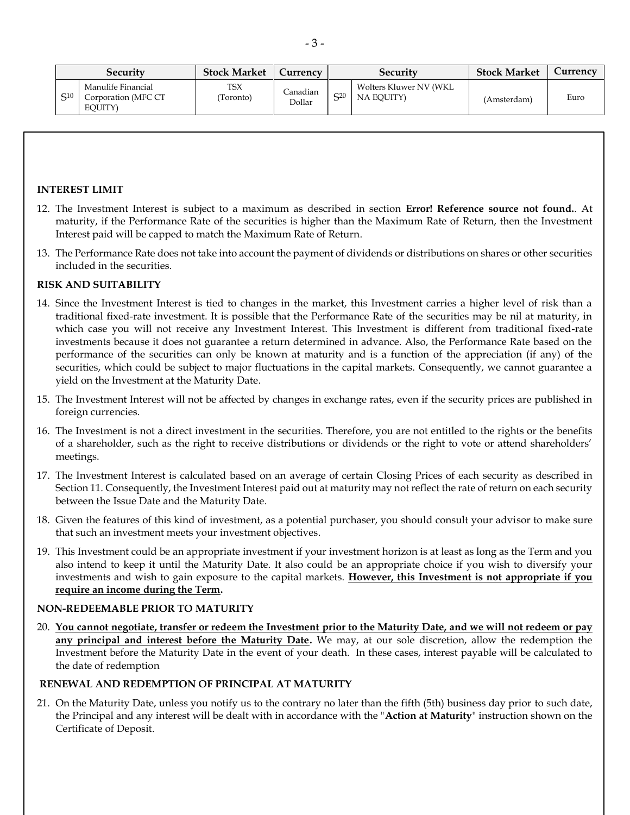| Security       |                                                      | <b>Stock Market</b>    | Currency           | Security       |                                       | <b>Stock Market</b> | Currency |
|----------------|------------------------------------------------------|------------------------|--------------------|----------------|---------------------------------------|---------------------|----------|
| $\mathsf{C}10$ | Manulife Financial<br>Corporation (MFC CT<br>EOUITY) | <b>TSX</b><br>Toronto) | Canadian<br>Dollar | $\mathsf{C}20$ | Wolters Kluwer NV (WKL)<br>NA EQUITY) | (Amsterdam)         | Euro     |

## **INTEREST LIMIT**

- 12. The Investment Interest is subject to a maximum as described in section **Error! Reference source not found.**. At maturity, if the Performance Rate of the securities is higher than the Maximum Rate of Return, then the Investment Interest paid will be capped to match the Maximum Rate of Return.
- 13. The Performance Rate does not take into account the payment of dividends or distributions on shares or other securities included in the securities.

### **RISK AND SUITABILITY**

- 14. Since the Investment Interest is tied to changes in the market, this Investment carries a higher level of risk than a traditional fixed-rate investment. It is possible that the Performance Rate of the securities may be nil at maturity, in which case you will not receive any Investment Interest. This Investment is different from traditional fixed-rate investments because it does not guarantee a return determined in advance. Also, the Performance Rate based on the performance of the securities can only be known at maturity and is a function of the appreciation (if any) of the securities, which could be subject to major fluctuations in the capital markets. Consequently, we cannot guarantee a yield on the Investment at the Maturity Date.
- 15. The Investment Interest will not be affected by changes in exchange rates, even if the security prices are published in foreign currencies.
- 16. The Investment is not a direct investment in the securities. Therefore, you are not entitled to the rights or the benefits of a shareholder, such as the right to receive distributions or dividends or the right to vote or attend shareholders' meetings.
- 17. The Investment Interest is calculated based on an average of certain Closing Prices of each security as described in Section 11. Consequently, the Investment Interest paid out at maturity may not reflect the rate of return on each security between the Issue Date and the Maturity Date.
- 18. Given the features of this kind of investment, as a potential purchaser, you should consult your advisor to make sure that such an investment meets your investment objectives.
- 19. This Investment could be an appropriate investment if your investment horizon is at least as long as the Term and you also intend to keep it until the Maturity Date. It also could be an appropriate choice if you wish to diversify your investments and wish to gain exposure to the capital markets. **However, this Investment is not appropriate if you require an income during the Term.**

#### **NON-REDEEMABLE PRIOR TO MATURITY**

20. **You cannot negotiate, transfer or redeem the Investment prior to the Maturity Date, and we will not redeem or pay any principal and interest before the Maturity Date.** We may, at our sole discretion, allow the redemption the Investment before the Maturity Date in the event of your death. In these cases, interest payable will be calculated to the date of redemption

#### **RENEWAL AND REDEMPTION OF PRINCIPAL AT MATURITY**

21. On the Maturity Date, unless you notify us to the contrary no later than the fifth (5th) business day prior to such date, the Principal and any interest will be dealt with in accordance with the "**Action at Maturity**" instruction shown on the Certificate of Deposit.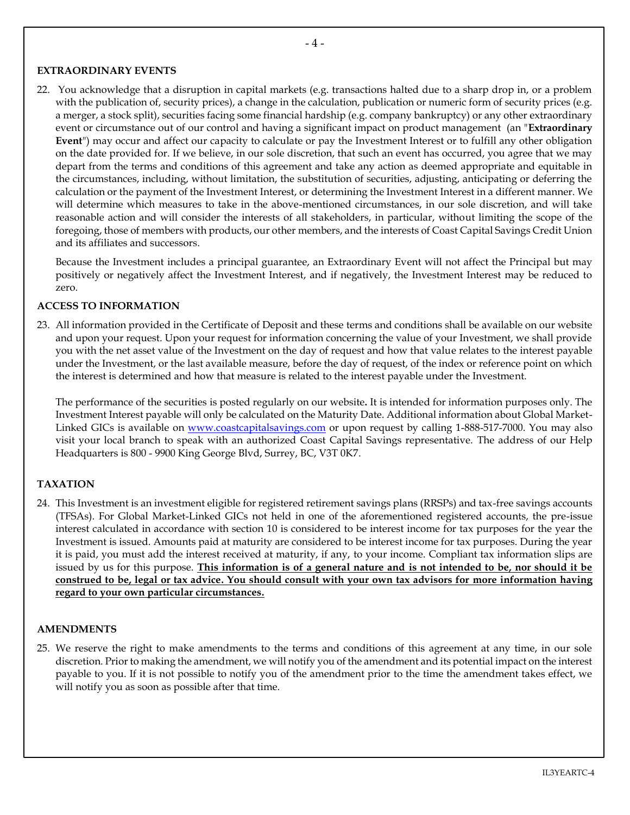### **EXTRAORDINARY EVENTS**

<span id="page-3-0"></span>22. You acknowledge that a disruption in capital markets (e.g. transactions halted due to a sharp drop in, or a problem with the publication of, security prices), a change in the calculation, publication or numeric form of security prices (e.g. a merger, a stock split), securities facing some financial hardship (e.g. company bankruptcy) or any other extraordinary event or circumstance out of our control and having a significant impact on product management (an "**Extraordinary Event**") may occur and affect our capacity to calculate or pay the Investment Interest or to fulfill any other obligation on the date provided for. If we believe, in our sole discretion, that such an event has occurred, you agree that we may depart from the terms and conditions of this agreement and take any action as deemed appropriate and equitable in the circumstances, including, without limitation, the substitution of securities, adjusting, anticipating or deferring the calculation or the payment of the Investment Interest, or determining the Investment Interest in a different manner. We will determine which measures to take in the above-mentioned circumstances, in our sole discretion, and will take reasonable action and will consider the interests of all stakeholders, in particular, without limiting the scope of the foregoing, those of members with products, our other members, and the interests of Coast Capital Savings Credit Union and its affiliates and successors.

Because the Investment includes a principal guarantee, an Extraordinary Event will not affect the Principal but may positively or negatively affect the Investment Interest, and if negatively, the Investment Interest may be reduced to zero.

## **ACCESS TO INFORMATION**

23. All information provided in the Certificate of Deposit and these terms and conditions shall be available on our website and upon your request. Upon your request for information concerning the value of your Investment, we shall provide you with the net asset value of the Investment on the day of request and how that value relates to the interest payable under the Investment, or the last available measure, before the day of request, of the index or reference point on which the interest is determined and how that measure is related to the interest payable under the Investment.

The performance of the securities is posted regularly on our website**.** It is intended for information purposes only. The Investment Interest payable will only be calculated on the Maturity Date. Additional information about Global Market-Linked GICs is available on [www.coastcapitalsavings.com](http://www.coastcapitalsavings.com/) or upon request by calling 1-888-517-7000. You may also visit your local branch to speak with an authorized Coast Capital Savings representative. The address of our Help Headquarters is 800 - 9900 King George Blvd, Surrey, BC, V3T 0K7.

## **TAXATION**

24. This Investment is an investment eligible for registered retirement savings plans (RRSPs) and tax-free savings accounts (TFSAs). For Global Market-Linked GICs not held in one of the aforementioned registered accounts, the pre-issue interest calculated in accordance with section [10](#page-0-0) is considered to be interest income for tax purposes for the year the Investment is issued. Amounts paid at maturity are considered to be interest income for tax purposes. During the year it is paid, you must add the interest received at maturity, if any, to your income. Compliant tax information slips are issued by us for this purpose. **This information is of a general nature and is not intended to be, nor should it be construed to be, legal or tax advice. You should consult with your own tax advisors for more information having regard to your own particular circumstances.**

#### **AMENDMENTS**

25. We reserve the right to make amendments to the terms and conditions of this agreement at any time, in our sole discretion. Prior to making the amendment, we will notify you of the amendment and its potential impact on the interest payable to you. If it is not possible to notify you of the amendment prior to the time the amendment takes effect, we will notify you as soon as possible after that time.